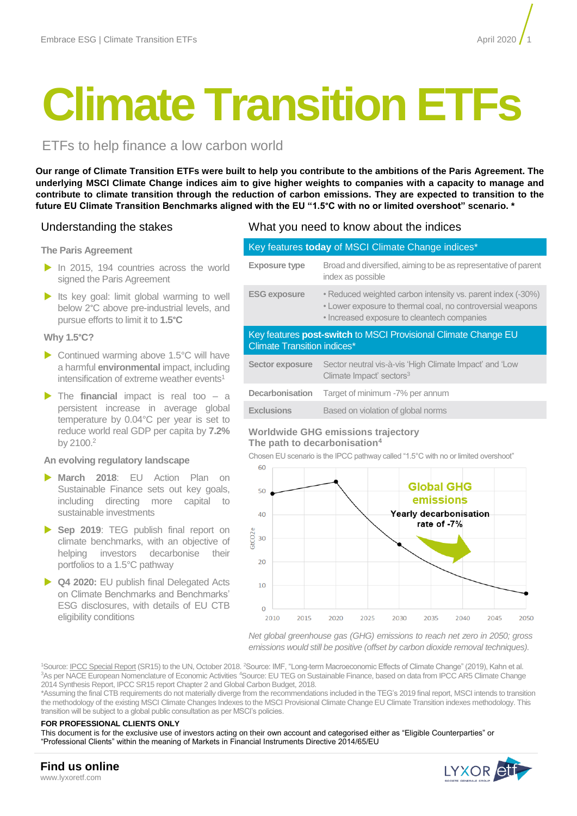# **Climate Transition ETFs**

## ETFs to help finance a low carbon world

**Our range of Climate Transition ETFs were built to help you contribute to the ambitions of the Paris Agreement. The underlying MSCI Climate Change indices aim to give higher weights to companies with a capacity to manage and contribute to climate transition through the reduction of carbon emissions. They are expected to transition to the future EU Climate Transition Benchmarks aligned with the EU "1.5°C with no or limited overshoot" scenario. \***

## **The Paris Agreement**

- In 2015, 194 countries across the world signed the Paris Agreement
- Its key goal: limit global warming to well below 2°C above pre-industrial levels, and pursue efforts to limit it to **1.5°C**

## **Why 1.5°C?**

- ▶ Continued warming above 1.5°C will have a harmful **environmental** impact, including intensification of extreme weather events<sup>1</sup>
- The **financial** impact is real too a persistent increase in average global temperature by 0.04°C per year is set to reduce world real GDP per capita by **7.2%** by 2100.<sup>2</sup>

## **An evolving regulatory landscape**

- **March 2018**: EU Action Plan on Sustainable Finance sets out key goals, including directing more capital to sustainable investments
- **Sep 2019**: TEG publish final report on climate benchmarks, with an objective of helping investors decarbonise their portfolios to a 1.5°C pathway
- **Q4 2020:** EU publish final Delegated Acts on Climate Benchmarks and Benchmarks' ESG disclosures, with details of EU CTB eligibility conditions

## Understanding the stakes What you need to know about the indices

## Key features **today** of MSCI Climate Change indices\*

| <b>Exposure type</b>                                                                                 | Broad and diversified, aiming to be as representative of parent<br>index as possible                                                                                     |  |  |  |  |
|------------------------------------------------------------------------------------------------------|--------------------------------------------------------------------------------------------------------------------------------------------------------------------------|--|--|--|--|
| <b>ESG exposure</b>                                                                                  | • Reduced weighted carbon intensity vs. parent index (-30%)<br>• Lower exposure to thermal coal, no controversial weapons<br>• Increased exposure to cleantech companies |  |  |  |  |
| Key features post-switch to MSCI Provisional Climate Change EU<br><b>Climate Transition indices*</b> |                                                                                                                                                                          |  |  |  |  |
| <b>Sector exposure</b>                                                                               | Sector neutral vis-à-vis 'High Climate Impact' and 'Low<br>Climate Impact' sectors <sup>3</sup>                                                                          |  |  |  |  |
| <b>Decarbonisation</b>                                                                               | Target of minimum -7% per annum                                                                                                                                          |  |  |  |  |
| <b>Exclusions</b>                                                                                    | Based on violation of global norms                                                                                                                                       |  |  |  |  |

## **Worldwide GHG emissions trajectory The path to decarbonisation<sup>4</sup>**

Chosen EU scenario is the IPCC pathway called "1.5°C with no or limited overshoot"



*Net global greenhouse gas (GHG) emissions to reach net zero in 2050; gross emissions would still be positive (offset by carbon dioxide removal techniques).*

<sup>1</sup>Source[: IPCC Special Report](https://report.ipcc.ch/sr15/pdf/sr15_spm_final.pdf) (SR15) to the UN, October 2018. <sup>2</sup>Source: IMF, "Long-term Macroeconomic Effects of Climate Change" (2019), Kahn et al. <sup>3</sup>As per NACE European Nomenclature of Economic Activities <sup>4</sup>Source: EU TEG on Sustainable Finance, based on data from IPCC AR5 Climate Change 2014 Synthesis Report, IPCC SR15 report Chapter 2 and Global Carbon Budget, 2018.

\*Assuming the final CTB requirements do not materially diverge from the recommendations included in the TEG's 2019 final report, MSCI intends to transition the methodology of the existing MSCI Climate Changes Indexes to the MSCI Provisional Climate Change EU Climate Transition indexes methodology. This transition will be subject to a global public consultation as per MSCI's policies.

#### **FOR PROFESSIONAL CLIENTS ONLY**

This document is for the exclusive use of investors acting on their own account and categorised either as "Eligible Counterparties" or "Professional Clients" within the meaning of Markets in Financial Instruments Directive 2014/65/EU

**Find us online** www.lyxoretf.com

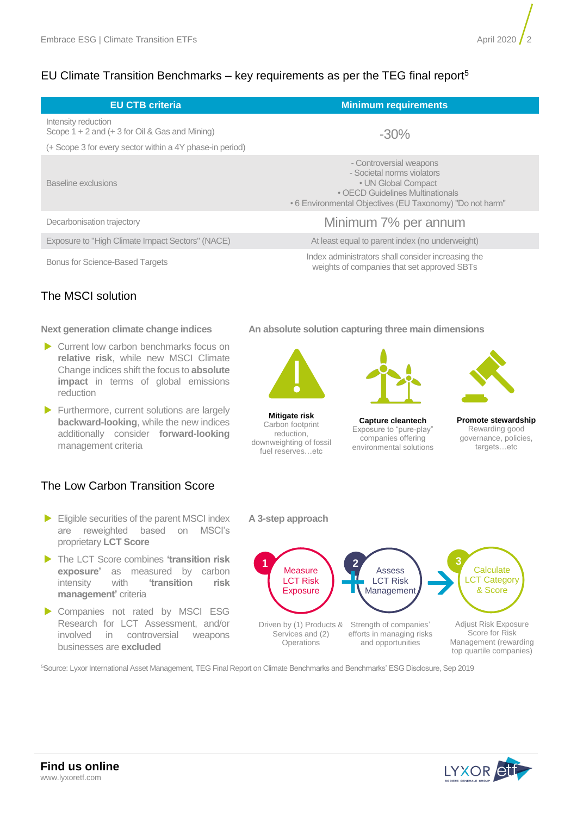## EU Climate Transition Benchmarks – key requirements as per the TEG final report<sup>5</sup>

| <b>EU CTB criteria</b>                                                    | <b>Minimum requirements</b>                                                                                                                                                  |  |  |  |
|---------------------------------------------------------------------------|------------------------------------------------------------------------------------------------------------------------------------------------------------------------------|--|--|--|
| Intensity reduction<br>Scope $1 + 2$ and $(+ 3$ for Oil & Gas and Mining) | $-30\%$                                                                                                                                                                      |  |  |  |
| (+ Scope 3 for every sector within a 4Y phase-in period)                  |                                                                                                                                                                              |  |  |  |
| Baseline exclusions                                                       | - Controversial weapons<br>- Societal norms violators<br>• UN Global Compact<br>• OECD Guidelines Multinationals<br>• 6 Environmental Objectives (EU Taxonomy) "Do not harm" |  |  |  |
| Decarbonisation trajectory                                                | Minimum 7% per annum                                                                                                                                                         |  |  |  |
| Exposure to "High Climate Impact Sectors" (NACE)                          | At least equal to parent index (no underweight)                                                                                                                              |  |  |  |
| <b>Bonus for Science-Based Targets</b>                                    | Index administrators shall consider increasing the<br>weights of companies that set approved SBTs                                                                            |  |  |  |

## The MSCI solution

## **Next generation climate change indices**

- Current low carbon benchmarks focus on **relative risk**, while new MSCI Climate Change indices shift the focus to **absolute impact** in terms of global emissions reduction
- Furthermore, current solutions are largely **backward-looking**, while the new indices additionally consider **forward-looking** management criteria

## The Low Carbon Transition Score

- Eligible securities of the parent MSCI index are reweighted based on MSCI's proprietary **LCT Score**
- The LCT Score combines **'transition risk exposure'** as measured by carbon intensity with **'transition risk management'** criteria
- Companies not rated by MSCI ESG Research for LCT Assessment, and/or involved in controversial weapons businesses are **excluded**

**An absolute solution capturing three main dimensions**



**Mitigate risk** Carbon footprint reduction, downweighting of fossil fuel reserves…etc

**A 3-step approach**



**Capture cleantech** Exposure to "pure-play" companies offering environmental solutions



**Promote stewardship** Rewarding good governance, policies, targets…etc



<sup>5</sup>Source: Lyxor International Asset Management, TEG Final Report on Climate Benchmarks and Benchmarks' ESG Disclosure, Sep 2019

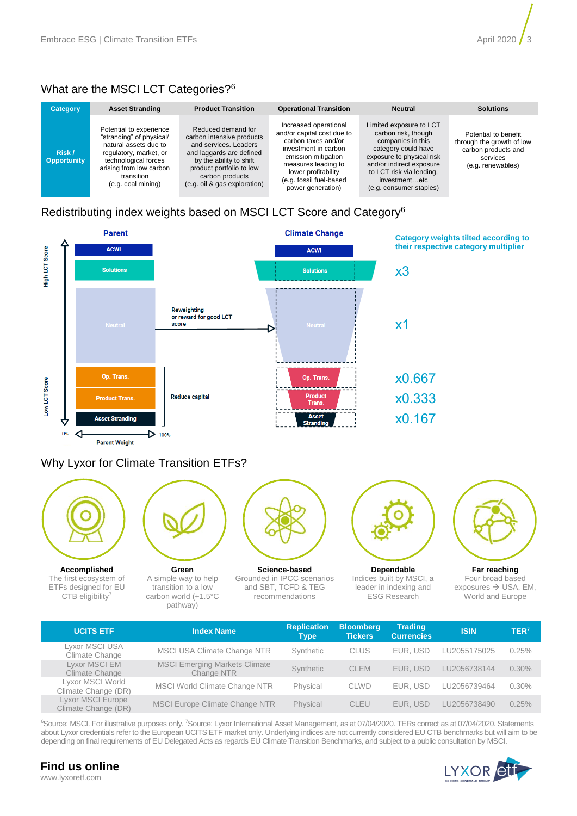## What are the MSCI LCT Categories?<sup>6</sup>

| <b>Category</b>              | <b>Asset Stranding</b>                                                                                                                                                                        | <b>Product Transition</b>                                                                                                                                                                                      | <b>Operational Transition</b>                                                                                                                                                                                           | <b>Neutral</b>                                                                                                                                                                                                              | <b>Solutions</b>                                                                                          |  |
|------------------------------|-----------------------------------------------------------------------------------------------------------------------------------------------------------------------------------------------|----------------------------------------------------------------------------------------------------------------------------------------------------------------------------------------------------------------|-------------------------------------------------------------------------------------------------------------------------------------------------------------------------------------------------------------------------|-----------------------------------------------------------------------------------------------------------------------------------------------------------------------------------------------------------------------------|-----------------------------------------------------------------------------------------------------------|--|
| Risk /<br><b>Opportunity</b> | Potential to experience<br>"stranding" of physical/<br>natural assets due to<br>regulatory, market, or<br>technological forces<br>arising from low carbon<br>transition<br>(e.g. coal mining) | Reduced demand for<br>carbon intensive products<br>and services. Leaders<br>and laggards are defined<br>by the ability to shift<br>product portfolio to low<br>carbon products<br>(e.g. oil & gas exploration) | Increased operational<br>and/or capital cost due to<br>carbon taxes and/or<br>investment in carbon<br>emission mitigation<br>measures leading to<br>lower profitability<br>(e.g. fossil fuel-based<br>power generation) | Limited exposure to LCT<br>carbon risk, though<br>companies in this<br>category could have<br>exposure to physical risk<br>and/or indirect exposure<br>to LCT risk via lending,<br>investmentetc<br>(e.g. consumer staples) | Potential to benefit<br>through the growth of low<br>carbon products and<br>services<br>(e.g. renewables) |  |

## Redistributing index weights based on MSCI LCT Score and Category<sup>6</sup>



ETFs designed for EU CTB eligibility<sup>7</sup>

transition to a low carbon world (+1.5°C pathway)

and SBT, TCFD & TEG recommendations

ESG Research

exposures  $\rightarrow$  USA, EM, World and Europe

| <b>UCITS ETF</b>                         | <b>Index Name</b>                                  | <b>Replication</b><br>Type | <b>Bloomberg</b><br><b>Tickers</b> | <b>Trading</b><br><b>Currencies</b> | <b>ISIN</b>  | TER <sup>7</sup> |
|------------------------------------------|----------------------------------------------------|----------------------------|------------------------------------|-------------------------------------|--------------|------------------|
| Lyxor MSCI USA<br>Climate Change         | MSCI USA Climate Change NTR                        | Synthetic                  | <b>CLUS</b>                        | EUR. USD                            | LU2055175025 | 0.25%            |
| Lyxor MSCI EM<br>Climate Change          | <b>MSCI Emerging Markets Climate</b><br>Change NTR | Synthetic                  | <b>CLEM</b>                        | EUR. USD                            | LU2056738144 | $0.30\%$         |
| Lyxor MSCI World<br>Climate Change (DR)  | MSCI World Climate Change NTR                      | Physical                   | <b>CLWD</b>                        | EUR. USD                            | LU2056739464 | 0.30%            |
| Lyxor MSCI Europe<br>Climate Change (DR) | <b>MSCI Europe Climate Change NTR</b>              | Physical                   | <b>CLEU</b>                        | EUR. USD                            | LU2056738490 | 0.25%            |

<sup>6</sup>Source: MSCI. For illustrative purposes only. <sup>7</sup>Source: Lyxor International Asset Management, as at 07/04/2020. TERs correct as at 07/04/2020. Statements about Lyxor credentials refer to the European UCITS ETF market only. Underlying indices are not currently considered EU CTB benchmarks but will aim to be depending on final requirements of EU Delegated Acts as regards EU Climate Transition Benchmarks, and subject to a public consultation by MSCI.



## **Find us online** www.lyxoretf.com